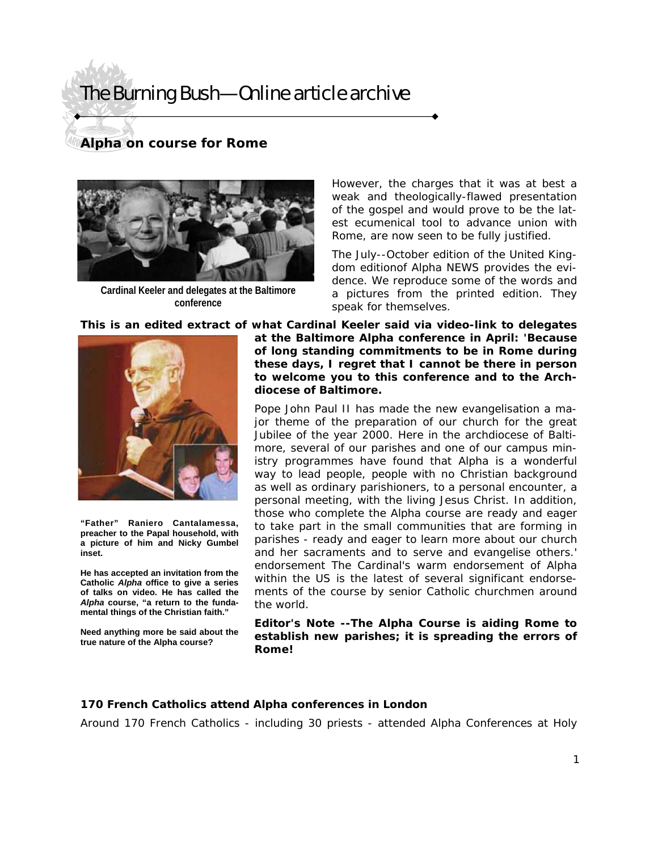## The Burning Bush—Online article archive

### **Alpha on course for Rome**



**Cardinal Keeler and delegates at the Baltimore conference** 

However, the charges that it was at best a weak and theologically-flawed presentation of the gospel and would prove to be the latest ecumenical tool to advance union with Rome, are now seen to be fully justified.

The July--October edition of the United Kingdom editionof Alpha NEWS provides the evidence. We reproduce some of the words and a pictures from the printed edition. They speak for themselves.

**This is an edited extract of what Cardinal Keeler said via video-link to delegates** 



**"Father" Raniero Cantalamessa, preacher to the Papal household, with a picture of him and Nicky Gumbel inset.** 

**He has accepted an invitation from the Catholic** *Alpha* **office to give a series of talks on video. He has called the**  *Alpha* **course, "a return to the fundamental things of the Christian faith."** 

**Need anything more be said about the true nature of the Alpha course?** 

**at the Baltimore Alpha conference in April: 'Because of long standing commitments to be in Rome during these days, I regret that I cannot be there in person to welcome you to this conference and to the Archdiocese of Baltimore.** 

Pope John Paul II has made the new evangelisation a major theme of the preparation of our church for the great Jubilee of the year 2000. Here in the archdiocese of Baltimore, several of our parishes and one of our campus ministry programmes have found that Alpha is a wonderful way to lead people, people with no Christian background as well as ordinary parishioners, to a personal encounter, a personal meeting, with the living Jesus Christ. In addition, those who complete the Alpha course are ready and eager to take part in the small communities that are forming in parishes - ready and eager to learn more about our church and her sacraments and to serve and evangelise others.' endorsement The Cardinal's warm endorsement of Alpha within the US is the latest of several significant endorsements of the course by senior Catholic churchmen around the world.

**Editor's Note --The** *Alpha* **Course is aiding Rome to establish new parishes; it is spreading the errors of Rome!** 

### **170 French Catholics attend** *Alpha* **conferences in London**

Around 170 French Catholics - including 30 priests - attended Alpha Conferences at Holy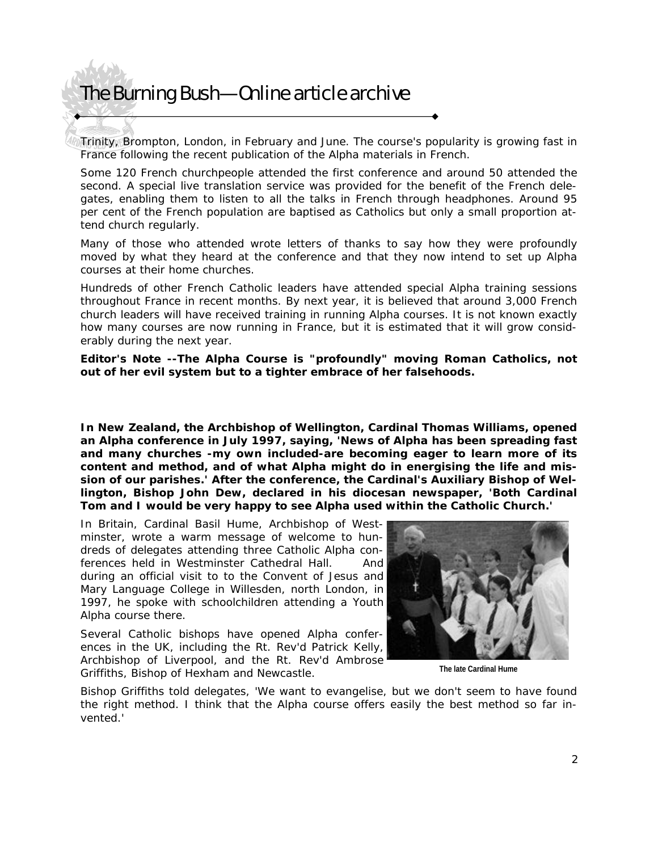### The Burning Bush—Online article archive

Trinity, Brompton, London, in February and June. The course's popularity is growing fast in France following the recent publication of the Alpha materials in French.

Some 120 French churchpeople attended the first conference and around 50 attended the second. A special live translation service was provided for the benefit of the French delegates, enabling them to listen to all the talks in French through headphones. Around 95 per cent of the French population are baptised as Catholics but only a small proportion attend church regularly.

Many of those who attended wrote letters of thanks to say how they were profoundly moved by what they heard at the conference and that they now intend to set up Alpha courses at their home churches.

Hundreds of other French Catholic leaders have attended special Alpha training sessions throughout France in recent months. By next year, it is believed that around 3,000 French church leaders will have received training in running Alpha courses. It is not known exactly how many courses are now running in France, but it is estimated that it will grow considerably during the next year.

**Editor's Note --The** *Alpha* **Course is "profoundly" moving Roman Catholics, not out of her evil system but to a tighter embrace of her falsehoods.** 

**In New Zealand, the Archbishop of Wellington, Cardinal Thomas Williams, opened an Alpha conference in July 1997, saying, 'News of Alpha has been spreading fast and many churches -my own included-are becoming eager to learn more of its content and method, and of what Alpha might do in energising the life and mission of our parishes.' After the conference, the Cardinal's Auxiliary Bishop of Wellington, Bishop John Dew, declared in his diocesan newspaper, 'Both Cardinal Tom and I would be very happy to see Alpha used within the Catholic Church.'** 

In Britain, Cardinal Basil Hume, Archbishop of Westminster, wrote a warm message of welcome to hundreds of delegates attending three Catholic Alpha conferences held in Westminster Cathedral Hall. And during an official visit to to the Convent of Jesus and Mary Language College in Willesden, north London, in 1997, he spoke with schoolchildren attending a Youth Alpha course there.

Several Catholic bishops have opened Alpha conferences in the UK, including the Rt. Rev'd Patrick Kelly, Archbishop of Liverpool, and the Rt. Rev'd Ambrose Griffiths, Bishop of Hexham and Newcastle.



**The late Cardinal Hume** 

Bishop Griffiths told delegates, 'We want to evangelise, but we don't seem to have found the right method. I think that the Alpha course offers easily the best method so far invented.'